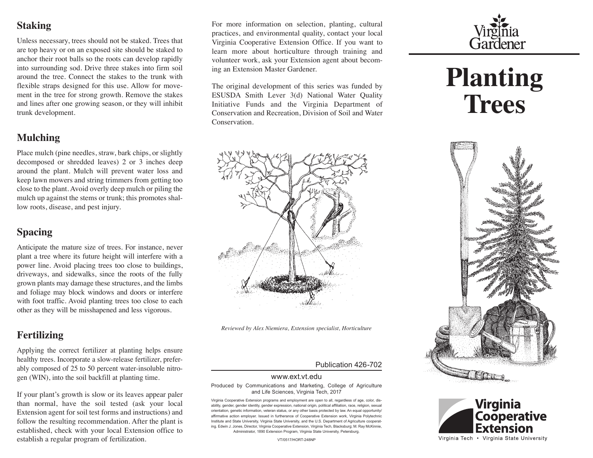## **Staking**

Unless necessary, trees should not be staked. Trees that are top heavy or on an exposed site should be staked to anchor their root balls so the roots can develop rapidly into surrounding sod. Drive three stakes into firm soil around the tree. Connect the stakes to the trunk with flexible straps designed for this use. Allow for movement in the tree for strong growth. Remove the stakes and lines after one growing season, or they will inhibit trunk development.

## **Mulching**

Place mulch (pine needles, straw, bark chips, or slightly decomposed or shredded leaves) 2 or 3 inches deep around the plant. Mulch will prevent water loss and keep lawn mowers and string trimmers from getting too close to the plant. Avoid overly deep mulch or piling the mulch up against the stems or trunk; this promotes shallow roots, disease, and pest injury.

## **Spacing**

Anticipate the mature size of trees. For instance, never plant a tree where its future height will interfere with a power line. Avoid placing trees too close to buildings, driveways, and sidewalks, since the roots of the fully grown plants may damage these structures, and the limbs and foliage may block windows and doors or interfere with foot traffic. Avoid planting trees too close to each other as they will be misshapened and less vigorous.

# **Fertilizing**

Applying the correct fertilizer at planting helps ensure healthy trees. Incorporate a slow-release fertilizer, preferably composed of 25 to 50 percent water-insoluble nitrogen (WIN), into the soil backfill at planting time.

If your plant's growth is slow or its leaves appear paler than normal, have the soil tested (ask your local Extension agent for soil test forms and instructions) and follow the resulting recommendation. After the plant is established, check with your local Extension office to establish a regular program of fertilization.

For more information on selection, planting, cultural practices, and environmental quality, contact your local Virginia Cooperative Extension Office. If you want to learn more about horticulture through training and volunteer work, ask your Extension agent about becoming an Extension Master Gardener.

The original development of this series was funded by ESUSDA Smith Lever 3(d) National Water Quality Initiative Funds and the Virginia Department of Conservation and Recreation, Division of Soil and Water Conservation.



*Reviewed by Alex Niemiera, Extension specialist, Horticulture*

#### Publication 426-702

#### www.ext.vt.edu

Produced by Communications and Marketing, College of Agriculture and Life Sciences, Virginia Tech, 2017

Virginia Cooperative Extension programs and employment are open to all, regardless of age, color, disability, gender, gender identity, gender expression, national origin, political affiliation, race, religion, sexual orientation, genetic information, veteran status, or any other basis protected by law. An equal opportunity/ affirmative action employer. Issued in furtherance of Cooperative Extension work, Virginia Polytechnic Institute and State University, Virginia State University, and the U.S. Department of Agriculture cooperating. Edwin J. Jones, Director, Virginia Cooperative Extension, Virginia Tech, Blacksburg; M. Ray McKinnie, Administrator, 1890 Extension Program, Virginia State University, Petersburg.